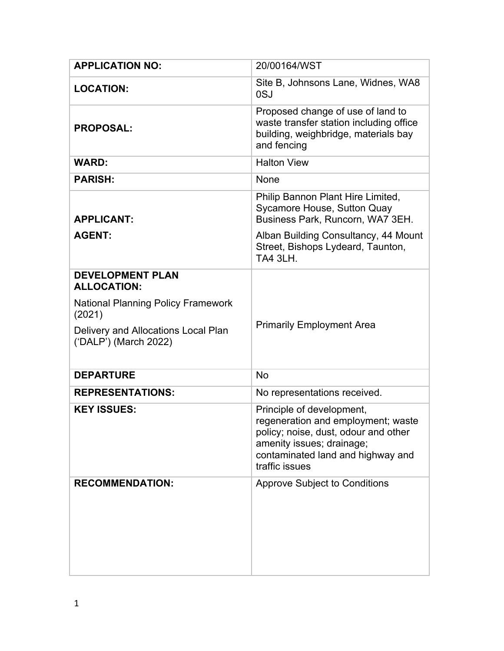| <b>APPLICATION NO:</b>                                       | 20/00164/WST                                                                                                                                                                                |
|--------------------------------------------------------------|---------------------------------------------------------------------------------------------------------------------------------------------------------------------------------------------|
| <b>LOCATION:</b>                                             | Site B, Johnsons Lane, Widnes, WA8<br>0SJ                                                                                                                                                   |
| <b>PROPOSAL:</b>                                             | Proposed change of use of land to<br>waste transfer station including office<br>building, weighbridge, materials bay<br>and fencing                                                         |
| <b>WARD:</b>                                                 | <b>Halton View</b>                                                                                                                                                                          |
| <b>PARISH:</b>                                               | None                                                                                                                                                                                        |
| <b>APPLICANT:</b>                                            | Philip Bannon Plant Hire Limited,<br>Sycamore House, Sutton Quay<br>Business Park, Runcorn, WA7 3EH.                                                                                        |
| <b>AGENT:</b>                                                | Alban Building Consultancy, 44 Mount<br>Street, Bishops Lydeard, Taunton,<br><b>TA4 3LH.</b>                                                                                                |
| <b>DEVELOPMENT PLAN</b><br><b>ALLOCATION:</b>                |                                                                                                                                                                                             |
| <b>National Planning Policy Framework</b><br>(2021)          |                                                                                                                                                                                             |
| Delivery and Allocations Local Plan<br>('DALP') (March 2022) | <b>Primarily Employment Area</b>                                                                                                                                                            |
| <b>DEPARTURE</b>                                             | <b>No</b>                                                                                                                                                                                   |
| <b>REPRESENTATIONS:</b>                                      | No representations received.                                                                                                                                                                |
| <b>KEY ISSUES:</b>                                           | Principle of development,<br>regeneration and employment; waste<br>policy; noise, dust, odour and other<br>amenity issues; drainage;<br>contaminated land and highway and<br>traffic issues |
| <b>RECOMMENDATION:</b>                                       | <b>Approve Subject to Conditions</b>                                                                                                                                                        |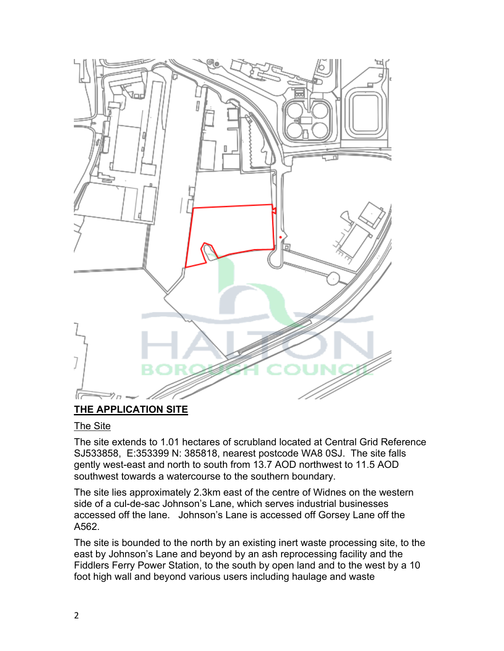

# **THE APPLICATION SITE**

### The Site

The site extends to 1.01 hectares of scrubland located at Central Grid Reference SJ533858, E:353399 N: 385818, nearest postcode WA8 0SJ. The site falls gently west-east and north to south from 13.7 AOD northwest to 11.5 AOD southwest towards a watercourse to the southern boundary.

The site lies approximately 2.3km east of the centre of Widnes on the western side of a cul-de-sac Johnson's Lane, which serves industrial businesses accessed off the lane. Johnson's Lane is accessed off Gorsey Lane off the A562.

The site is bounded to the north by an existing inert waste processing site, to the east by Johnson's Lane and beyond by an ash reprocessing facility and the Fiddlers Ferry Power Station, to the south by open land and to the west by a 10 foot high wall and beyond various users including haulage and waste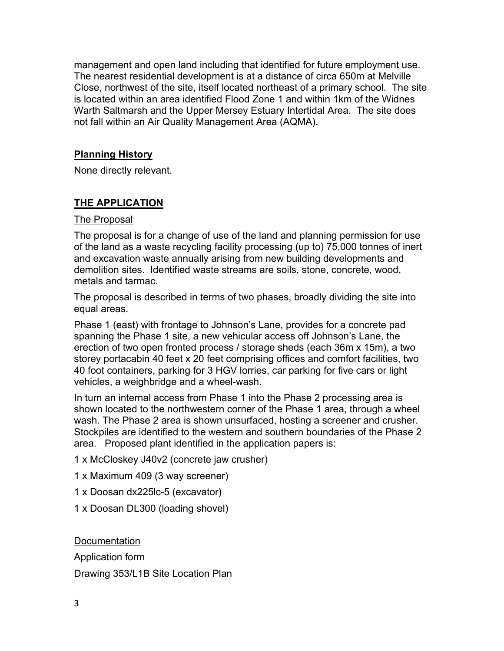management and open land including that identified for future employment use. The nearest residential development is at a distance of circa 650m at Melville Close, northwest of the site, itself located northeast of a primary school. The site is located within an area identified Flood Zone 1 and within 1km of the Widnes Warth Saltmarsh and the Upper Mersey Estuary Intertidal Area. The site does not fall within an Air Quality Management Area (AQMA).

## **Planning History**

None directly relevant.

# **THE APPLICATION**

### The Proposal

The proposal is for a change of use of the land and planning permission for use of the land as a waste recycling facility processing (up to) 75,000 tonnes of inert and excavation waste annually arising from new building developments and demolition sites. Identified waste streams are soils, stone, concrete, wood, metals and tarmac.

The proposal is described in terms of two phases, broadly dividing the site into equal areas.

Phase 1 (east) with frontage to Johnson's Lane, provides for a concrete pad spanning the Phase 1 site, a new vehicular access off Johnson's Lane, the erection of two open fronted process / storage sheds (each 36m x 15m), a two storey portacabin 40 feet x 20 feet comprising offices and comfort facilities, two 40 foot containers, parking for 3 HGV lorries, car parking for five cars or light vehicles, a weighbridge and a wheel-wash.

In turn an internal access from Phase 1 into the Phase 2 processing area is shown located to the northwestern corner of the Phase 1 area, through a wheel wash. The Phase 2 area is shown unsurfaced, hosting a screener and crusher. Stockpiles are identified to the western and southern boundaries of the Phase 2 area. Proposed plant identified in the application papers is:

1 x McCloskey J40v2 (concrete jaw crusher)

1 x Maximum 409 (3 way screener)

- 1 x Doosan dx225lc-5 (excavator)
- 1 x Doosan DL300 (loading shovel)

Documentation

Application form Drawing 353/L1B Site Location Plan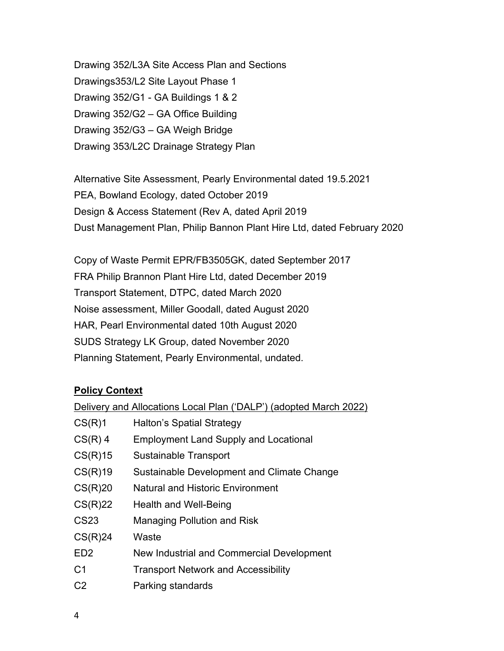Drawing 352/L3A Site Access Plan and Sections Drawings353/L2 Site Layout Phase 1 Drawing 352/G1 - GA Buildings 1 & 2 Drawing 352/G2 – GA Office Building Drawing 352/G3 – GA Weigh Bridge Drawing 353/L2C Drainage Strategy Plan

Alternative Site Assessment, Pearly Environmental dated 19.5.2021 PEA, Bowland Ecology, dated October 2019 Design & Access Statement (Rev A, dated April 2019 Dust Management Plan, Philip Bannon Plant Hire Ltd, dated February 2020

Copy of Waste Permit EPR/FB3505GK, dated September 2017 FRA Philip Brannon Plant Hire Ltd, dated December 2019 Transport Statement, DTPC, dated March 2020 Noise assessment, Miller Goodall, dated August 2020 HAR, Pearl Environmental dated 10th August 2020 SUDS Strategy LK Group, dated November 2020 Planning Statement, Pearly Environmental, undated.

## **Policy Context**

| Delivery and Allocations Local Plan ('DALP') (adopted March 2022) |                                              |
|-------------------------------------------------------------------|----------------------------------------------|
| CS(R)1                                                            | <b>Halton's Spatial Strategy</b>             |
| $CS(R)$ 4                                                         | <b>Employment Land Supply and Locational</b> |
| CS(R)15                                                           | Sustainable Transport                        |
| CS(R)19                                                           | Sustainable Development and Climate Change   |
| CS(R)20                                                           | <b>Natural and Historic Environment</b>      |
| CS(R)22                                                           | Health and Well-Being                        |
| <b>CS23</b>                                                       | <b>Managing Pollution and Risk</b>           |
| CS(R)24                                                           | Waste                                        |
| ED <sub>2</sub>                                                   | New Industrial and Commercial Development    |
| C <sub>1</sub>                                                    | <b>Transport Network and Accessibility</b>   |
| C <sub>2</sub>                                                    | Parking standards                            |
|                                                                   |                                              |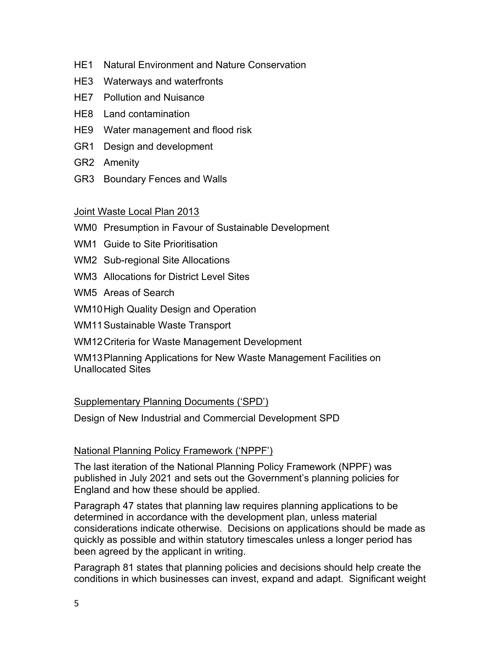- HE1 Natural Environment and Nature Conservation
- HE3 Waterways and waterfronts
- HE7 Pollution and Nuisance
- HE8 Land contamination
- HE9 Water management and flood risk
- GR1 Design and development
- GR2 Amenity
- GR3 Boundary Fences and Walls

## Joint Waste Local Plan 2013

- WM0 Presumption in Favour of Sustainable Development
- WM1 Guide to Site Prioritisation
- WM2 Sub-regional Site Allocations
- WM3 Allocations for District Level Sites
- WM5 Areas of Search
- WM10High Quality Design and Operation
- WM11 Sustainable Waste Transport
- WM12Criteria for Waste Management Development

WM13Planning Applications for New Waste Management Facilities on Unallocated Sites

## Supplementary Planning Documents ('SPD')

Design of New Industrial and Commercial Development SPD

## National Planning Policy Framework ('NPPF')

The last iteration of the National Planning Policy Framework (NPPF) was published in July 2021 and sets out the Government's planning policies for England and how these should be applied.

Paragraph 47 states that planning law requires planning applications to be determined in accordance with the development plan, unless material considerations indicate otherwise. Decisions on applications should be made as quickly as possible and within statutory timescales unless a longer period has been agreed by the applicant in writing.

Paragraph 81 states that planning policies and decisions should help create the conditions in which businesses can invest, expand and adapt. Significant weight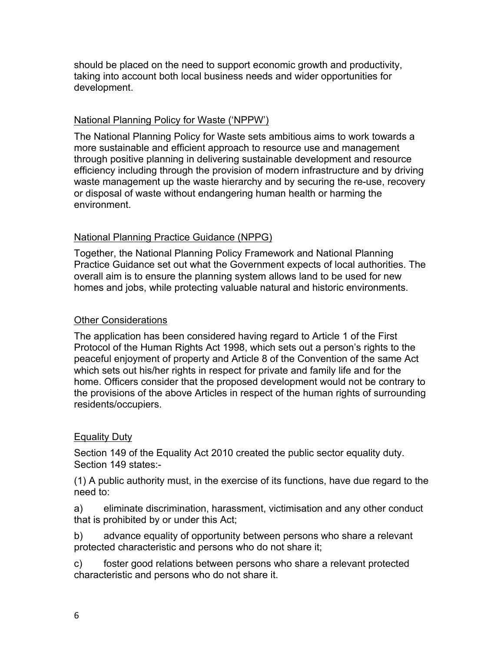should be placed on the need to support economic growth and productivity, taking into account both local business needs and wider opportunities for development.

## National Planning Policy for Waste ('NPPW')

The National Planning Policy for Waste sets ambitious aims to work towards a more sustainable and efficient approach to resource use and management through positive planning in delivering sustainable development and resource efficiency including through the provision of modern infrastructure and by driving waste management up the waste hierarchy and by securing the re-use, recovery or disposal of waste without endangering human health or harming the environment.

## National Planning Practice Guidance (NPPG)

Together, the National Planning Policy Framework and National Planning Practice Guidance set out what the Government expects of local authorities. The overall aim is to ensure the planning system allows land to be used for new homes and jobs, while protecting valuable natural and historic environments.

## Other Considerations

The application has been considered having regard to Article 1 of the First Protocol of the Human Rights Act 1998, which sets out a person's rights to the peaceful enjoyment of property and Article 8 of the Convention of the same Act which sets out his/her rights in respect for private and family life and for the home. Officers consider that the proposed development would not be contrary to the provisions of the above Articles in respect of the human rights of surrounding residents/occupiers.

### Equality Duty

Section 149 of the Equality Act 2010 created the public sector equality duty. Section 149 states:-

(1) A public authority must, in the exercise of its functions, have due regard to the need to:

a) eliminate discrimination, harassment, victimisation and any other conduct that is prohibited by or under this Act;

b) advance equality of opportunity between persons who share a relevant protected characteristic and persons who do not share it;

c) foster good relations between persons who share a relevant protected characteristic and persons who do not share it.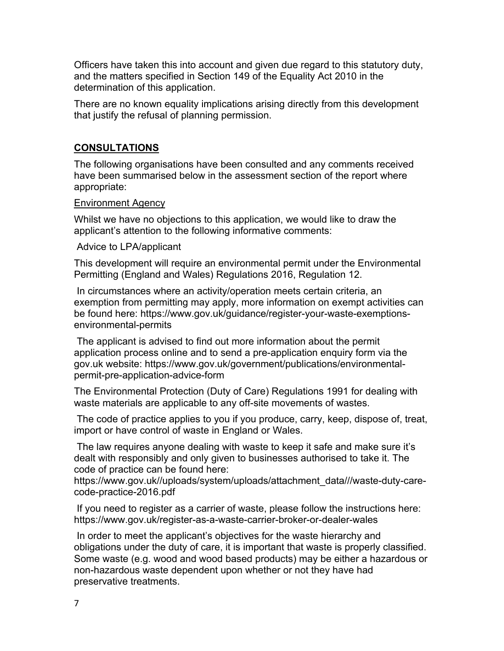Officers have taken this into account and given due regard to this statutory duty, and the matters specified in Section 149 of the Equality Act 2010 in the determination of this application.

There are no known equality implications arising directly from this development that justify the refusal of planning permission.

## **CONSULTATIONS**

The following organisations have been consulted and any comments received have been summarised below in the assessment section of the report where appropriate:

### Environment Agency

Whilst we have no objections to this application, we would like to draw the applicant's attention to the following informative comments:

### Advice to LPA/applicant

This development will require an environmental permit under the Environmental Permitting (England and Wales) Regulations 2016, Regulation 12.

In circumstances where an activity/operation meets certain criteria, an exemption from permitting may apply, more information on exempt activities can be found here: https://www.gov.uk/guidance/register-your-waste-exemptionsenvironmental-permits

The applicant is advised to find out more information about the permit application process online and to send a pre-application enquiry form via the gov.uk website: https://www.gov.uk/government/publications/environmentalpermit-pre-application-advice-form

The Environmental Protection (Duty of Care) Regulations 1991 for dealing with waste materials are applicable to any off-site movements of wastes.

The code of practice applies to you if you produce, carry, keep, dispose of, treat, import or have control of waste in England or Wales.

The law requires anyone dealing with waste to keep it safe and make sure it's dealt with responsibly and only given to businesses authorised to take it. The code of practice can be found here:

https://www.gov.uk//uploads/system/uploads/attachment\_data///waste-duty-carecode-practice-2016.pdf

If you need to register as a carrier of waste, please follow the instructions here: https://www.gov.uk/register-as-a-waste-carrier-broker-or-dealer-wales

In order to meet the applicant's objectives for the waste hierarchy and obligations under the duty of care, it is important that waste is properly classified. Some waste (e.g. wood and wood based products) may be either a hazardous or non-hazardous waste dependent upon whether or not they have had preservative treatments.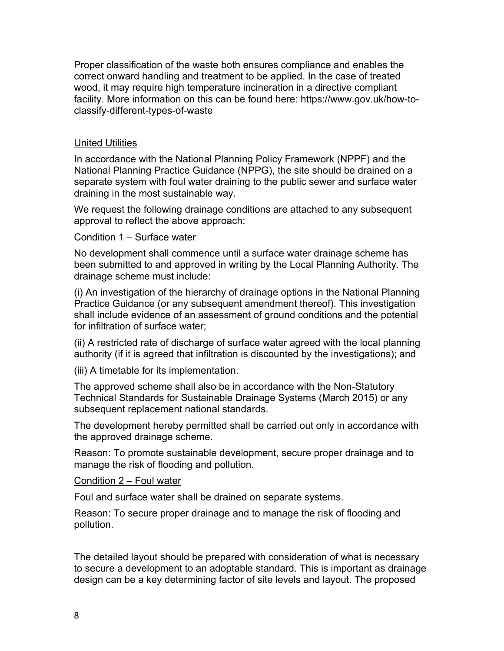Proper classification of the waste both ensures compliance and enables the correct onward handling and treatment to be applied. In the case of treated wood, it may require high temperature incineration in a directive compliant facility. More information on this can be found here: https://www.gov.uk/how-toclassify-different-types-of-waste

### United Utilities

In accordance with the National Planning Policy Framework (NPPF) and the National Planning Practice Guidance (NPPG), the site should be drained on a separate system with foul water draining to the public sewer and surface water draining in the most sustainable way.

We request the following drainage conditions are attached to any subsequent approval to reflect the above approach:

### Condition 1 – Surface water

No development shall commence until a surface water drainage scheme has been submitted to and approved in writing by the Local Planning Authority. The drainage scheme must include:

(i) An investigation of the hierarchy of drainage options in the National Planning Practice Guidance (or any subsequent amendment thereof). This investigation shall include evidence of an assessment of ground conditions and the potential for infiltration of surface water;

(ii) A restricted rate of discharge of surface water agreed with the local planning authority (if it is agreed that infiltration is discounted by the investigations); and

(iii) A timetable for its implementation.

The approved scheme shall also be in accordance with the Non-Statutory Technical Standards for Sustainable Drainage Systems (March 2015) or any subsequent replacement national standards.

The development hereby permitted shall be carried out only in accordance with the approved drainage scheme.

Reason: To promote sustainable development, secure proper drainage and to manage the risk of flooding and pollution.

Condition 2 – Foul water

Foul and surface water shall be drained on separate systems.

Reason: To secure proper drainage and to manage the risk of flooding and pollution.

The detailed layout should be prepared with consideration of what is necessary to secure a development to an adoptable standard. This is important as drainage design can be a key determining factor of site levels and layout. The proposed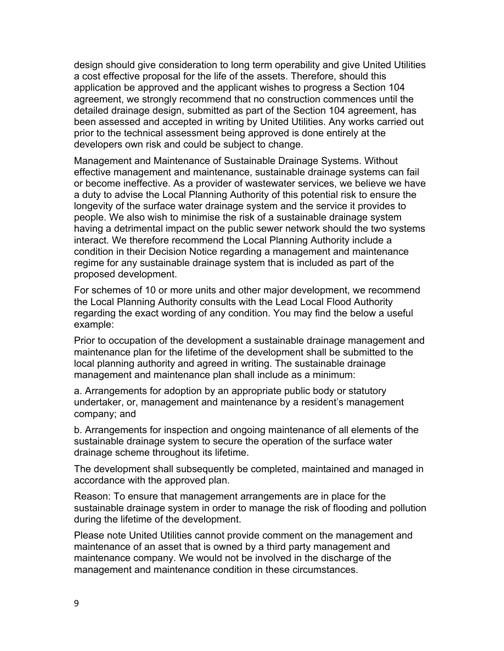design should give consideration to long term operability and give United Utilities a cost effective proposal for the life of the assets. Therefore, should this application be approved and the applicant wishes to progress a Section 104 agreement, we strongly recommend that no construction commences until the detailed drainage design, submitted as part of the Section 104 agreement, has been assessed and accepted in writing by United Utilities. Any works carried out prior to the technical assessment being approved is done entirely at the developers own risk and could be subject to change.

Management and Maintenance of Sustainable Drainage Systems. Without effective management and maintenance, sustainable drainage systems can fail or become ineffective. As a provider of wastewater services, we believe we have a duty to advise the Local Planning Authority of this potential risk to ensure the longevity of the surface water drainage system and the service it provides to people. We also wish to minimise the risk of a sustainable drainage system having a detrimental impact on the public sewer network should the two systems interact. We therefore recommend the Local Planning Authority include a condition in their Decision Notice regarding a management and maintenance regime for any sustainable drainage system that is included as part of the proposed development.

For schemes of 10 or more units and other major development, we recommend the Local Planning Authority consults with the Lead Local Flood Authority regarding the exact wording of any condition. You may find the below a useful example:

Prior to occupation of the development a sustainable drainage management and maintenance plan for the lifetime of the development shall be submitted to the local planning authority and agreed in writing. The sustainable drainage management and maintenance plan shall include as a minimum:

a. Arrangements for adoption by an appropriate public body or statutory undertaker, or, management and maintenance by a resident's management company; and

b. Arrangements for inspection and ongoing maintenance of all elements of the sustainable drainage system to secure the operation of the surface water drainage scheme throughout its lifetime.

The development shall subsequently be completed, maintained and managed in accordance with the approved plan.

Reason: To ensure that management arrangements are in place for the sustainable drainage system in order to manage the risk of flooding and pollution during the lifetime of the development.

Please note United Utilities cannot provide comment on the management and maintenance of an asset that is owned by a third party management and maintenance company. We would not be involved in the discharge of the management and maintenance condition in these circumstances.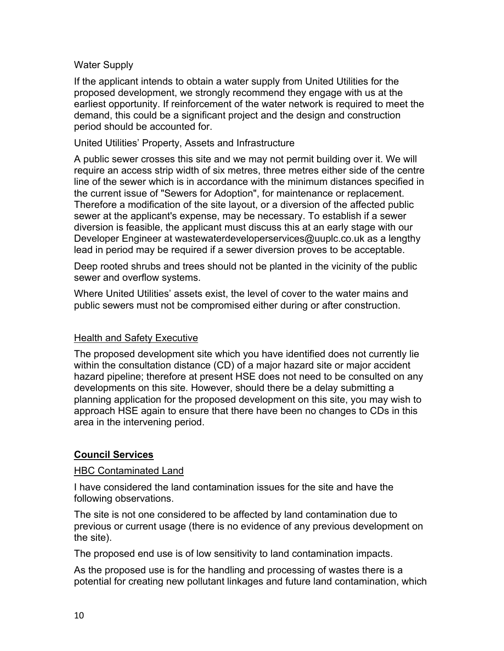### Water Supply

If the applicant intends to obtain a water supply from United Utilities for the proposed development, we strongly recommend they engage with us at the earliest opportunity. If reinforcement of the water network is required to meet the demand, this could be a significant project and the design and construction period should be accounted for.

### United Utilities' Property, Assets and Infrastructure

A public sewer crosses this site and we may not permit building over it. We will require an access strip width of six metres, three metres either side of the centre line of the sewer which is in accordance with the minimum distances specified in the current issue of "Sewers for Adoption", for maintenance or replacement. Therefore a modification of the site layout, or a diversion of the affected public sewer at the applicant's expense, may be necessary. To establish if a sewer diversion is feasible, the applicant must discuss this at an early stage with our Developer Engineer at wastewaterdeveloperservices@uuplc.co.uk as a lengthy lead in period may be required if a sewer diversion proves to be acceptable.

Deep rooted shrubs and trees should not be planted in the vicinity of the public sewer and overflow systems.

Where United Utilities' assets exist, the level of cover to the water mains and public sewers must not be compromised either during or after construction.

### Health and Safety Executive

The proposed development site which you have identified does not currently lie within the consultation distance (CD) of a major hazard site or major accident hazard pipeline; therefore at present HSE does not need to be consulted on any developments on this site. However, should there be a delay submitting a planning application for the proposed development on this site, you may wish to approach HSE again to ensure that there have been no changes to CDs in this area in the intervening period.

### **Council Services**

### HBC Contaminated Land

I have considered the land contamination issues for the site and have the following observations.

The site is not one considered to be affected by land contamination due to previous or current usage (there is no evidence of any previous development on the site).

The proposed end use is of low sensitivity to land contamination impacts.

As the proposed use is for the handling and processing of wastes there is a potential for creating new pollutant linkages and future land contamination, which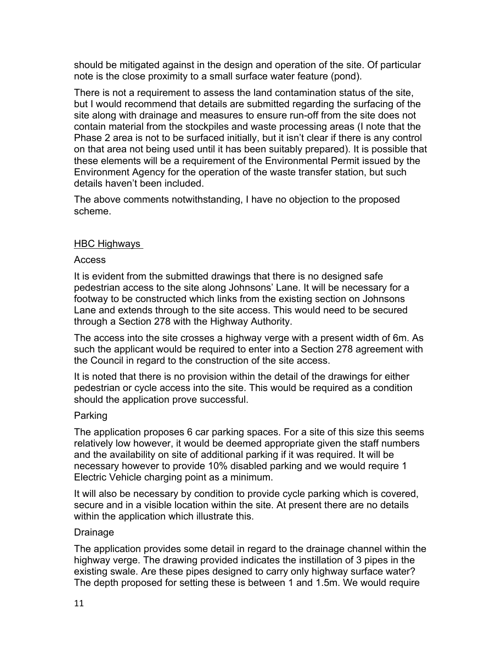should be mitigated against in the design and operation of the site. Of particular note is the close proximity to a small surface water feature (pond).

There is not a requirement to assess the land contamination status of the site, but I would recommend that details are submitted regarding the surfacing of the site along with drainage and measures to ensure run-off from the site does not contain material from the stockpiles and waste processing areas (I note that the Phase 2 area is not to be surfaced initially, but it isn't clear if there is any control on that area not being used until it has been suitably prepared). It is possible that these elements will be a requirement of the Environmental Permit issued by the Environment Agency for the operation of the waste transfer station, but such details haven't been included.

The above comments notwithstanding, I have no objection to the proposed scheme.

## HBC Highways

### Access

It is evident from the submitted drawings that there is no designed safe pedestrian access to the site along Johnsons' Lane. It will be necessary for a footway to be constructed which links from the existing section on Johnsons Lane and extends through to the site access. This would need to be secured through a Section 278 with the Highway Authority.

The access into the site crosses a highway verge with a present width of 6m. As such the applicant would be required to enter into a Section 278 agreement with the Council in regard to the construction of the site access.

It is noted that there is no provision within the detail of the drawings for either pedestrian or cycle access into the site. This would be required as a condition should the application prove successful.

### Parking

The application proposes 6 car parking spaces. For a site of this size this seems relatively low however, it would be deemed appropriate given the staff numbers and the availability on site of additional parking if it was required. It will be necessary however to provide 10% disabled parking and we would require 1 Electric Vehicle charging point as a minimum.

It will also be necessary by condition to provide cycle parking which is covered, secure and in a visible location within the site. At present there are no details within the application which illustrate this.

## Drainage

The application provides some detail in regard to the drainage channel within the highway verge. The drawing provided indicates the instillation of 3 pipes in the existing swale. Are these pipes designed to carry only highway surface water? The depth proposed for setting these is between 1 and 1.5m. We would require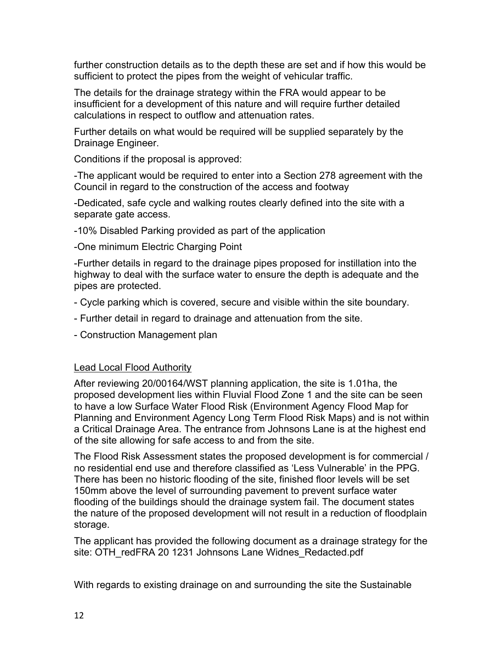further construction details as to the depth these are set and if how this would be sufficient to protect the pipes from the weight of vehicular traffic.

The details for the drainage strategy within the FRA would appear to be insufficient for a development of this nature and will require further detailed calculations in respect to outflow and attenuation rates.

Further details on what would be required will be supplied separately by the Drainage Engineer.

Conditions if the proposal is approved:

-The applicant would be required to enter into a Section 278 agreement with the Council in regard to the construction of the access and footway

-Dedicated, safe cycle and walking routes clearly defined into the site with a separate gate access.

-10% Disabled Parking provided as part of the application

-One minimum Electric Charging Point

-Further details in regard to the drainage pipes proposed for instillation into the highway to deal with the surface water to ensure the depth is adequate and the pipes are protected.

- Cycle parking which is covered, secure and visible within the site boundary.
- Further detail in regard to drainage and attenuation from the site.
- Construction Management plan

### Lead Local Flood Authority

After reviewing 20/00164/WST planning application, the site is 1.01ha, the proposed development lies within Fluvial Flood Zone 1 and the site can be seen to have a low Surface Water Flood Risk (Environment Agency Flood Map for Planning and Environment Agency Long Term Flood Risk Maps) and is not within a Critical Drainage Area. The entrance from Johnsons Lane is at the highest end of the site allowing for safe access to and from the site.

The Flood Risk Assessment states the proposed development is for commercial / no residential end use and therefore classified as 'Less Vulnerable' in the PPG. There has been no historic flooding of the site, finished floor levels will be set 150mm above the level of surrounding pavement to prevent surface water flooding of the buildings should the drainage system fail. The document states the nature of the proposed development will not result in a reduction of floodplain storage.

The applicant has provided the following document as a drainage strategy for the site: OTH\_redFRA 20 1231 Johnsons Lane Widnes\_Redacted.pdf

With regards to existing drainage on and surrounding the site the Sustainable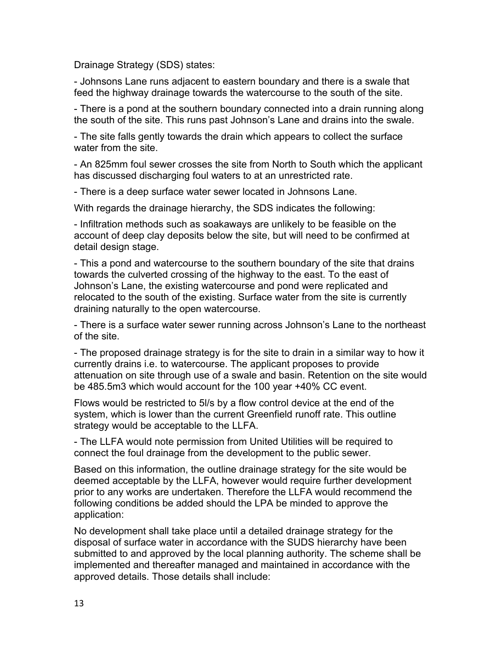Drainage Strategy (SDS) states:

- Johnsons Lane runs adjacent to eastern boundary and there is a swale that feed the highway drainage towards the watercourse to the south of the site.

- There is a pond at the southern boundary connected into a drain running along the south of the site. This runs past Johnson's Lane and drains into the swale.

- The site falls gently towards the drain which appears to collect the surface water from the site.

- An 825mm foul sewer crosses the site from North to South which the applicant has discussed discharging foul waters to at an unrestricted rate.

- There is a deep surface water sewer located in Johnsons Lane.

With regards the drainage hierarchy, the SDS indicates the following:

- Infiltration methods such as soakaways are unlikely to be feasible on the account of deep clay deposits below the site, but will need to be confirmed at detail design stage.

- This a pond and watercourse to the southern boundary of the site that drains towards the culverted crossing of the highway to the east. To the east of Johnson's Lane, the existing watercourse and pond were replicated and relocated to the south of the existing. Surface water from the site is currently draining naturally to the open watercourse.

- There is a surface water sewer running across Johnson's Lane to the northeast of the site.

- The proposed drainage strategy is for the site to drain in a similar way to how it currently drains i.e. to watercourse. The applicant proposes to provide attenuation on site through use of a swale and basin. Retention on the site would be 485.5m3 which would account for the 100 year +40% CC event.

Flows would be restricted to 5l/s by a flow control device at the end of the system, which is lower than the current Greenfield runoff rate. This outline strategy would be acceptable to the LLFA.

- The LLFA would note permission from United Utilities will be required to connect the foul drainage from the development to the public sewer.

Based on this information, the outline drainage strategy for the site would be deemed acceptable by the LLFA, however would require further development prior to any works are undertaken. Therefore the LLFA would recommend the following conditions be added should the LPA be minded to approve the application:

No development shall take place until a detailed drainage strategy for the disposal of surface water in accordance with the SUDS hierarchy have been submitted to and approved by the local planning authority. The scheme shall be implemented and thereafter managed and maintained in accordance with the approved details. Those details shall include: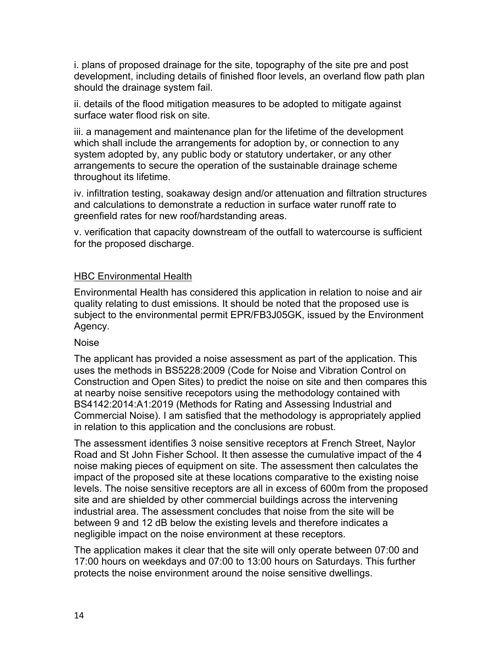i. plans of proposed drainage for the site, topography of the site pre and post development, including details of finished floor levels, an overland flow path plan should the drainage system fail.

ii. details of the flood mitigation measures to be adopted to mitigate against surface water flood risk on site.

iii. a management and maintenance plan for the lifetime of the development which shall include the arrangements for adoption by, or connection to any system adopted by, any public body or statutory undertaker, or any other arrangements to secure the operation of the sustainable drainage scheme throughout its lifetime.

iv. infiltration testing, soakaway design and/or attenuation and filtration structures and calculations to demonstrate a reduction in surface water runoff rate to greenfield rates for new roof/hardstanding areas.

v. verification that capacity downstream of the outfall to watercourse is sufficient for the proposed discharge.

### HBC Environmental Health

Environmental Health has considered this application in relation to noise and air quality relating to dust emissions. It should be noted that the proposed use is subject to the environmental permit EPR/FB3J05GK, issued by the Environment Agency.

### Noise

The applicant has provided a noise assessment as part of the application. This uses the methods in BS5228:2009 (Code for Noise and Vibration Control on Construction and Open Sites) to predict the noise on site and then compares this at nearby noise sensitive recepotors using the methodology contained with BS4142:2014:A1:2019 (Methods for Rating and Assessing Industrial and Commercial Noise). I am satisfied that the methodology is appropriately applied in relation to this application and the conclusions are robust.

The assessment identifies 3 noise sensitive receptors at French Street, Naylor Road and St John Fisher School. It then assesse the cumulative impact of the 4 noise making pieces of equipment on site. The assessment then calculates the impact of the proposed site at these locations comparative to the existing noise levels. The noise sensitive receptors are all in excess of 600m from the proposed site and are shielded by other commercial buildings across the intervening industrial area. The assessment concludes that noise from the site will be between 9 and 12 dB below the existing levels and therefore indicates a negligible impact on the noise environment at these receptors.

The application makes it clear that the site will only operate between 07:00 and 17:00 hours on weekdays and 07:00 to 13:00 hours on Saturdays. This further protects the noise environment around the noise sensitive dwellings.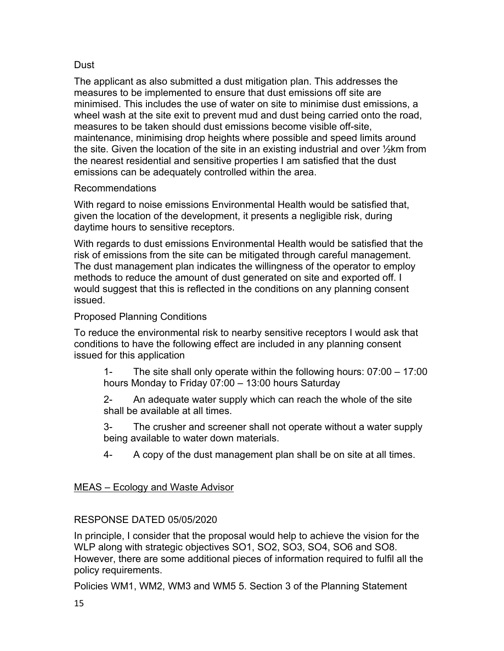## Dust

The applicant as also submitted a dust mitigation plan. This addresses the measures to be implemented to ensure that dust emissions off site are minimised. This includes the use of water on site to minimise dust emissions, a wheel wash at the site exit to prevent mud and dust being carried onto the road, measures to be taken should dust emissions become visible off-site, maintenance, minimising drop heights where possible and speed limits around the site. Given the location of the site in an existing industrial and over ½km from the nearest residential and sensitive properties I am satisfied that the dust emissions can be adequately controlled within the area.

## Recommendations

With regard to noise emissions Environmental Health would be satisfied that, given the location of the development, it presents a negligible risk, during daytime hours to sensitive receptors.

With regards to dust emissions Environmental Health would be satisfied that the risk of emissions from the site can be mitigated through careful management. The dust management plan indicates the willingness of the operator to employ methods to reduce the amount of dust generated on site and exported off. I would suggest that this is reflected in the conditions on any planning consent issued.

# Proposed Planning Conditions

To reduce the environmental risk to nearby sensitive receptors I would ask that conditions to have the following effect are included in any planning consent issued for this application

1- The site shall only operate within the following hours: 07:00 – 17:00 hours Monday to Friday 07:00 – 13:00 hours Saturday

2- An adequate water supply which can reach the whole of the site shall be available at all times.

3- The crusher and screener shall not operate without a water supply being available to water down materials.

4- A copy of the dust management plan shall be on site at all times.

# MEAS – Ecology and Waste Advisor

# RESPONSE DATED 05/05/2020

In principle, I consider that the proposal would help to achieve the vision for the WLP along with strategic objectives SO1, SO2, SO3, SO4, SO6 and SO8. However, there are some additional pieces of information required to fulfil all the policy requirements.

Policies WM1, WM2, WM3 and WM5 5. Section 3 of the Planning Statement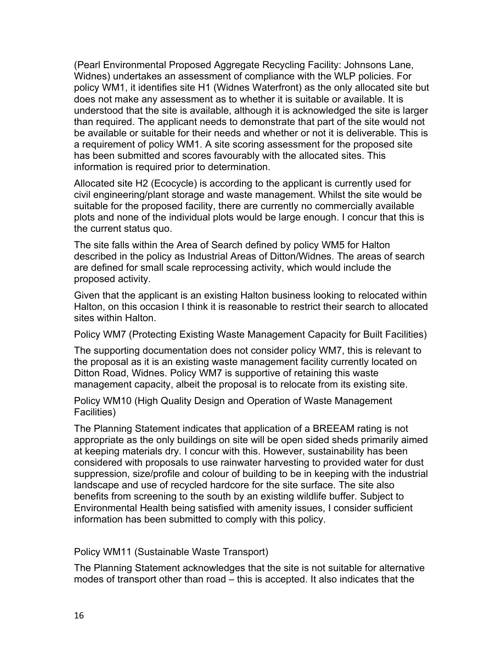(Pearl Environmental Proposed Aggregate Recycling Facility: Johnsons Lane, Widnes) undertakes an assessment of compliance with the WLP policies. For policy WM1, it identifies site H1 (Widnes Waterfront) as the only allocated site but does not make any assessment as to whether it is suitable or available. It is understood that the site is available, although it is acknowledged the site is larger than required. The applicant needs to demonstrate that part of the site would not be available or suitable for their needs and whether or not it is deliverable. This is a requirement of policy WM1. A site scoring assessment for the proposed site has been submitted and scores favourably with the allocated sites. This information is required prior to determination.

Allocated site H2 (Ecocycle) is according to the applicant is currently used for civil engineering/plant storage and waste management. Whilst the site would be suitable for the proposed facility, there are currently no commercially available plots and none of the individual plots would be large enough. I concur that this is the current status quo.

The site falls within the Area of Search defined by policy WM5 for Halton described in the policy as Industrial Areas of Ditton/Widnes. The areas of search are defined for small scale reprocessing activity, which would include the proposed activity.

Given that the applicant is an existing Halton business looking to relocated within Halton, on this occasion I think it is reasonable to restrict their search to allocated sites within Halton.

Policy WM7 (Protecting Existing Waste Management Capacity for Built Facilities)

The supporting documentation does not consider policy WM7, this is relevant to the proposal as it is an existing waste management facility currently located on Ditton Road, Widnes. Policy WM7 is supportive of retaining this waste management capacity, albeit the proposal is to relocate from its existing site.

Policy WM10 (High Quality Design and Operation of Waste Management Facilities)

The Planning Statement indicates that application of a BREEAM rating is not appropriate as the only buildings on site will be open sided sheds primarily aimed at keeping materials dry. I concur with this. However, sustainability has been considered with proposals to use rainwater harvesting to provided water for dust suppression, size/profile and colour of building to be in keeping with the industrial landscape and use of recycled hardcore for the site surface. The site also benefits from screening to the south by an existing wildlife buffer. Subject to Environmental Health being satisfied with amenity issues, I consider sufficient information has been submitted to comply with this policy.

Policy WM11 (Sustainable Waste Transport)

The Planning Statement acknowledges that the site is not suitable for alternative modes of transport other than road – this is accepted. It also indicates that the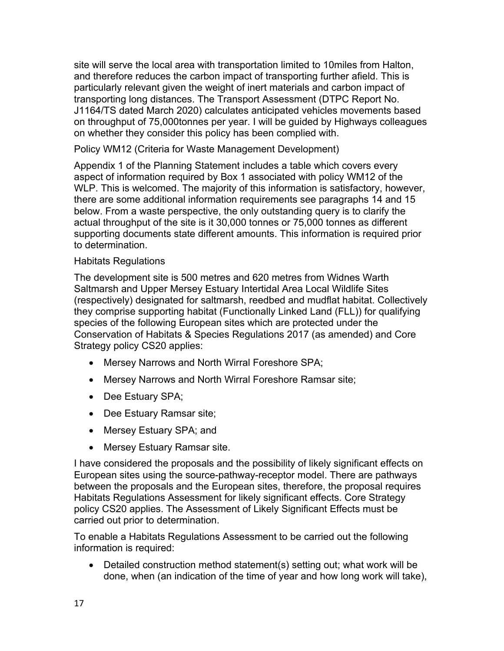site will serve the local area with transportation limited to 10miles from Halton, and therefore reduces the carbon impact of transporting further afield. This is particularly relevant given the weight of inert materials and carbon impact of transporting long distances. The Transport Assessment (DTPC Report No. J1164/TS dated March 2020) calculates anticipated vehicles movements based on throughput of 75,000tonnes per year. I will be guided by Highways colleagues on whether they consider this policy has been complied with.

Policy WM12 (Criteria for Waste Management Development)

Appendix 1 of the Planning Statement includes a table which covers every aspect of information required by Box 1 associated with policy WM12 of the WLP. This is welcomed. The majority of this information is satisfactory, however, there are some additional information requirements see paragraphs 14 and 15 below. From a waste perspective, the only outstanding query is to clarify the actual throughput of the site is it 30,000 tonnes or 75,000 tonnes as different supporting documents state different amounts. This information is required prior to determination.

### Habitats Regulations

The development site is 500 metres and 620 metres from Widnes Warth Saltmarsh and Upper Mersey Estuary Intertidal Area Local Wildlife Sites (respectively) designated for saltmarsh, reedbed and mudflat habitat. Collectively they comprise supporting habitat (Functionally Linked Land (FLL)) for qualifying species of the following European sites which are protected under the Conservation of Habitats & Species Regulations 2017 (as amended) and Core Strategy policy CS20 applies:

- Mersey Narrows and North Wirral Foreshore SPA;
- Mersey Narrows and North Wirral Foreshore Ramsar site;
- Dee Estuary SPA;
- Dee Estuary Ramsar site;
- Mersey Estuary SPA; and
- Mersey Estuary Ramsar site.

I have considered the proposals and the possibility of likely significant effects on European sites using the source-pathway-receptor model. There are pathways between the proposals and the European sites, therefore, the proposal requires Habitats Regulations Assessment for likely significant effects. Core Strategy policy CS20 applies. The Assessment of Likely Significant Effects must be carried out prior to determination.

To enable a Habitats Regulations Assessment to be carried out the following information is required:

 Detailed construction method statement(s) setting out; what work will be done, when (an indication of the time of year and how long work will take),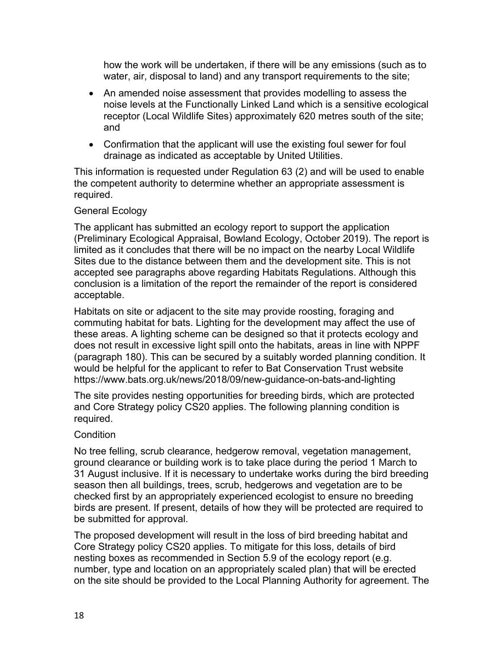how the work will be undertaken, if there will be any emissions (such as to water, air, disposal to land) and any transport requirements to the site;

- An amended noise assessment that provides modelling to assess the noise levels at the Functionally Linked Land which is a sensitive ecological receptor (Local Wildlife Sites) approximately 620 metres south of the site; and
- Confirmation that the applicant will use the existing foul sewer for foul drainage as indicated as acceptable by United Utilities.

This information is requested under Regulation 63 (2) and will be used to enable the competent authority to determine whether an appropriate assessment is required.

## General Ecology

The applicant has submitted an ecology report to support the application (Preliminary Ecological Appraisal, Bowland Ecology, October 2019). The report is limited as it concludes that there will be no impact on the nearby Local Wildlife Sites due to the distance between them and the development site. This is not accepted see paragraphs above regarding Habitats Regulations. Although this conclusion is a limitation of the report the remainder of the report is considered acceptable.

Habitats on site or adjacent to the site may provide roosting, foraging and commuting habitat for bats. Lighting for the development may affect the use of these areas. A lighting scheme can be designed so that it protects ecology and does not result in excessive light spill onto the habitats, areas in line with NPPF (paragraph 180). This can be secured by a suitably worded planning condition. It would be helpful for the applicant to refer to Bat Conservation Trust website https://www.bats.org.uk/news/2018/09/new-guidance-on-bats-and-lighting

The site provides nesting opportunities for breeding birds, which are protected and Core Strategy policy CS20 applies. The following planning condition is required.

### **Condition**

No tree felling, scrub clearance, hedgerow removal, vegetation management, ground clearance or building work is to take place during the period 1 March to 31 August inclusive. If it is necessary to undertake works during the bird breeding season then all buildings, trees, scrub, hedgerows and vegetation are to be checked first by an appropriately experienced ecologist to ensure no breeding birds are present. If present, details of how they will be protected are required to be submitted for approval.

The proposed development will result in the loss of bird breeding habitat and Core Strategy policy CS20 applies. To mitigate for this loss, details of bird nesting boxes as recommended in Section 5.9 of the ecology report (e.g. number, type and location on an appropriately scaled plan) that will be erected on the site should be provided to the Local Planning Authority for agreement. The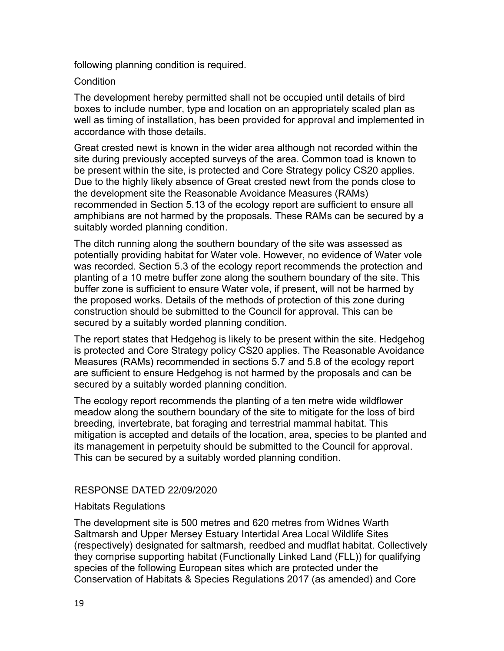following planning condition is required.

#### **Condition**

The development hereby permitted shall not be occupied until details of bird boxes to include number, type and location on an appropriately scaled plan as well as timing of installation, has been provided for approval and implemented in accordance with those details.

Great crested newt is known in the wider area although not recorded within the site during previously accepted surveys of the area. Common toad is known to be present within the site, is protected and Core Strategy policy CS20 applies. Due to the highly likely absence of Great crested newt from the ponds close to the development site the Reasonable Avoidance Measures (RAMs) recommended in Section 5.13 of the ecology report are sufficient to ensure all amphibians are not harmed by the proposals. These RAMs can be secured by a suitably worded planning condition.

The ditch running along the southern boundary of the site was assessed as potentially providing habitat for Water vole. However, no evidence of Water vole was recorded. Section 5.3 of the ecology report recommends the protection and planting of a 10 metre buffer zone along the southern boundary of the site. This buffer zone is sufficient to ensure Water vole, if present, will not be harmed by the proposed works. Details of the methods of protection of this zone during construction should be submitted to the Council for approval. This can be secured by a suitably worded planning condition.

The report states that Hedgehog is likely to be present within the site. Hedgehog is protected and Core Strategy policy CS20 applies. The Reasonable Avoidance Measures (RAMs) recommended in sections 5.7 and 5.8 of the ecology report are sufficient to ensure Hedgehog is not harmed by the proposals and can be secured by a suitably worded planning condition.

The ecology report recommends the planting of a ten metre wide wildflower meadow along the southern boundary of the site to mitigate for the loss of bird breeding, invertebrate, bat foraging and terrestrial mammal habitat. This mitigation is accepted and details of the location, area, species to be planted and its management in perpetuity should be submitted to the Council for approval. This can be secured by a suitably worded planning condition.

#### RESPONSE DATED 22/09/2020

#### Habitats Regulations

The development site is 500 metres and 620 metres from Widnes Warth Saltmarsh and Upper Mersey Estuary Intertidal Area Local Wildlife Sites (respectively) designated for saltmarsh, reedbed and mudflat habitat. Collectively they comprise supporting habitat (Functionally Linked Land (FLL)) for qualifying species of the following European sites which are protected under the Conservation of Habitats & Species Regulations 2017 (as amended) and Core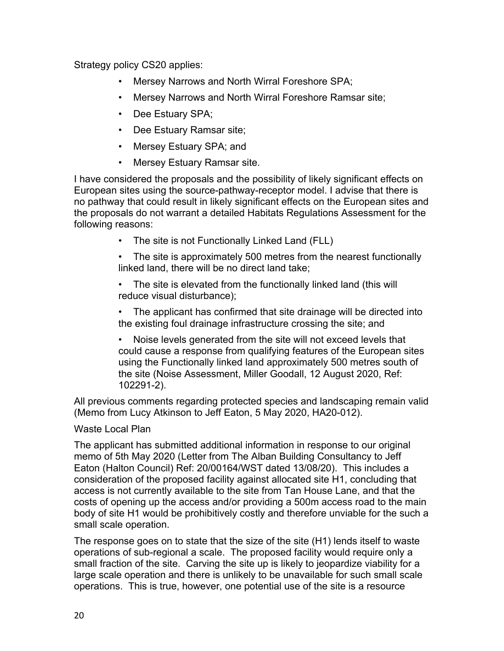Strategy policy CS20 applies:

- Mersey Narrows and North Wirral Foreshore SPA;
- Mersey Narrows and North Wirral Foreshore Ramsar site;
- Dee Estuary SPA;
- Dee Estuary Ramsar site;
- Mersey Estuary SPA; and
- Mersey Estuary Ramsar site.

I have considered the proposals and the possibility of likely significant effects on European sites using the source-pathway-receptor model. I advise that there is no pathway that could result in likely significant effects on the European sites and the proposals do not warrant a detailed Habitats Regulations Assessment for the following reasons:

• The site is not Functionally Linked Land (FLL)

The site is approximately 500 metres from the nearest functionally linked land, there will be no direct land take;

• The site is elevated from the functionally linked land (this will reduce visual disturbance);

• The applicant has confirmed that site drainage will be directed into the existing foul drainage infrastructure crossing the site; and

• Noise levels generated from the site will not exceed levels that could cause a response from qualifying features of the European sites using the Functionally linked land approximately 500 metres south of the site (Noise Assessment, Miller Goodall, 12 August 2020, Ref: 102291-2).

All previous comments regarding protected species and landscaping remain valid (Memo from Lucy Atkinson to Jeff Eaton, 5 May 2020, HA20-012).

## Waste Local Plan

The applicant has submitted additional information in response to our original memo of 5th May 2020 (Letter from The Alban Building Consultancy to Jeff Eaton (Halton Council) Ref: 20/00164/WST dated 13/08/20). This includes a consideration of the proposed facility against allocated site H1, concluding that access is not currently available to the site from Tan House Lane, and that the costs of opening up the access and/or providing a 500m access road to the main body of site H1 would be prohibitively costly and therefore unviable for the such a small scale operation.

The response goes on to state that the size of the site (H1) lends itself to waste operations of sub-regional a scale. The proposed facility would require only a small fraction of the site. Carving the site up is likely to jeopardize viability for a large scale operation and there is unlikely to be unavailable for such small scale operations. This is true, however, one potential use of the site is a resource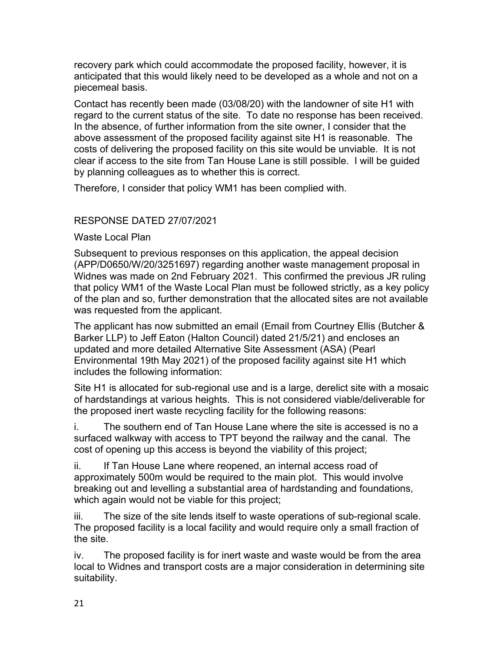recovery park which could accommodate the proposed facility, however, it is anticipated that this would likely need to be developed as a whole and not on a piecemeal basis.

Contact has recently been made (03/08/20) with the landowner of site H1 with regard to the current status of the site. To date no response has been received. In the absence, of further information from the site owner, I consider that the above assessment of the proposed facility against site H1 is reasonable. The costs of delivering the proposed facility on this site would be unviable. It is not clear if access to the site from Tan House Lane is still possible. I will be guided by planning colleagues as to whether this is correct.

Therefore, I consider that policy WM1 has been complied with.

# RESPONSE DATED 27/07/2021

Waste Local Plan

Subsequent to previous responses on this application, the appeal decision (APP/D0650/W/20/3251697) regarding another waste management proposal in Widnes was made on 2nd February 2021. This confirmed the previous JR ruling that policy WM1 of the Waste Local Plan must be followed strictly, as a key policy of the plan and so, further demonstration that the allocated sites are not available was requested from the applicant.

The applicant has now submitted an email (Email from Courtney Ellis (Butcher & Barker LLP) to Jeff Eaton (Halton Council) dated 21/5/21) and encloses an updated and more detailed Alternative Site Assessment (ASA) (Pearl Environmental 19th May 2021) of the proposed facility against site H1 which includes the following information:

Site H1 is allocated for sub-regional use and is a large, derelict site with a mosaic of hardstandings at various heights. This is not considered viable/deliverable for the proposed inert waste recycling facility for the following reasons:

i. The southern end of Tan House Lane where the site is accessed is no a surfaced walkway with access to TPT beyond the railway and the canal. The cost of opening up this access is beyond the viability of this project;

ii. If Tan House Lane where reopened, an internal access road of approximately 500m would be required to the main plot. This would involve breaking out and levelling a substantial area of hardstanding and foundations, which again would not be viable for this project;

iii. The size of the site lends itself to waste operations of sub-regional scale. The proposed facility is a local facility and would require only a small fraction of the site.

iv. The proposed facility is for inert waste and waste would be from the area local to Widnes and transport costs are a major consideration in determining site suitability.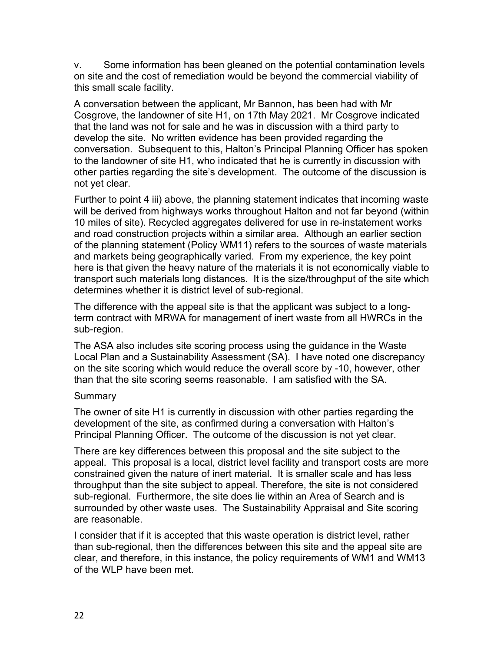v. Some information has been gleaned on the potential contamination levels on site and the cost of remediation would be beyond the commercial viability of this small scale facility.

A conversation between the applicant, Mr Bannon, has been had with Mr Cosgrove, the landowner of site H1, on 17th May 2021. Mr Cosgrove indicated that the land was not for sale and he was in discussion with a third party to develop the site. No written evidence has been provided regarding the conversation. Subsequent to this, Halton's Principal Planning Officer has spoken to the landowner of site H1, who indicated that he is currently in discussion with other parties regarding the site's development. The outcome of the discussion is not yet clear.

Further to point 4 iii) above, the planning statement indicates that incoming waste will be derived from highways works throughout Halton and not far beyond (within 10 miles of site). Recycled aggregates delivered for use in re-instatement works and road construction projects within a similar area. Although an earlier section of the planning statement (Policy WM11) refers to the sources of waste materials and markets being geographically varied. From my experience, the key point here is that given the heavy nature of the materials it is not economically viable to transport such materials long distances. It is the size/throughput of the site which determines whether it is district level of sub-regional.

The difference with the appeal site is that the applicant was subject to a longterm contract with MRWA for management of inert waste from all HWRCs in the sub-region.

The ASA also includes site scoring process using the guidance in the Waste Local Plan and a Sustainability Assessment (SA). I have noted one discrepancy on the site scoring which would reduce the overall score by -10, however, other than that the site scoring seems reasonable. I am satisfied with the SA.

### Summary

The owner of site H1 is currently in discussion with other parties regarding the development of the site, as confirmed during a conversation with Halton's Principal Planning Officer. The outcome of the discussion is not yet clear.

There are key differences between this proposal and the site subject to the appeal. This proposal is a local, district level facility and transport costs are more constrained given the nature of inert material. It is smaller scale and has less throughput than the site subject to appeal. Therefore, the site is not considered sub-regional. Furthermore, the site does lie within an Area of Search and is surrounded by other waste uses. The Sustainability Appraisal and Site scoring are reasonable.

I consider that if it is accepted that this waste operation is district level, rather than sub-regional, then the differences between this site and the appeal site are clear, and therefore, in this instance, the policy requirements of WM1 and WM13 of the WLP have been met.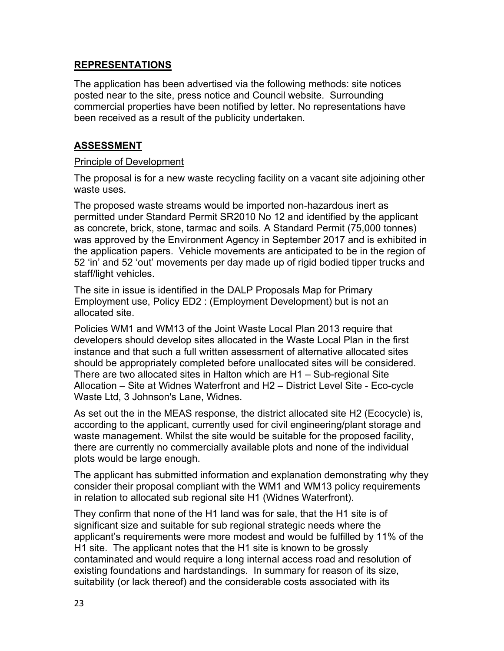## **REPRESENTATIONS**

The application has been advertised via the following methods: site notices posted near to the site, press notice and Council website. Surrounding commercial properties have been notified by letter. No representations have been received as a result of the publicity undertaken.

## **ASSESSMENT**

#### Principle of Development

The proposal is for a new waste recycling facility on a vacant site adjoining other waste uses.

The proposed waste streams would be imported non-hazardous inert as permitted under Standard Permit SR2010 No 12 and identified by the applicant as concrete, brick, stone, tarmac and soils. A Standard Permit (75,000 tonnes) was approved by the Environment Agency in September 2017 and is exhibited in the application papers. Vehicle movements are anticipated to be in the region of 52 'in' and 52 'out' movements per day made up of rigid bodied tipper trucks and staff/light vehicles.

The site in issue is identified in the DALP Proposals Map for Primary Employment use, Policy ED2 : (Employment Development) but is not an allocated site.

Policies WM1 and WM13 of the Joint Waste Local Plan 2013 require that developers should develop sites allocated in the Waste Local Plan in the first instance and that such a full written assessment of alternative allocated sites should be appropriately completed before unallocated sites will be considered. There are two allocated sites in Halton which are H1 – Sub-regional Site Allocation – Site at Widnes Waterfront and H2 – District Level Site - Eco-cycle Waste Ltd, 3 Johnson's Lane, Widnes.

As set out the in the MEAS response, the district allocated site H2 (Ecocycle) is, according to the applicant, currently used for civil engineering/plant storage and waste management. Whilst the site would be suitable for the proposed facility, there are currently no commercially available plots and none of the individual plots would be large enough.

The applicant has submitted information and explanation demonstrating why they consider their proposal compliant with the WM1 and WM13 policy requirements in relation to allocated sub regional site H1 (Widnes Waterfront).

They confirm that none of the H1 land was for sale, that the H1 site is of significant size and suitable for sub regional strategic needs where the applicant's requirements were more modest and would be fulfilled by 11% of the H1 site. The applicant notes that the H1 site is known to be grossly contaminated and would require a long internal access road and resolution of existing foundations and hardstandings. In summary for reason of its size, suitability (or lack thereof) and the considerable costs associated with its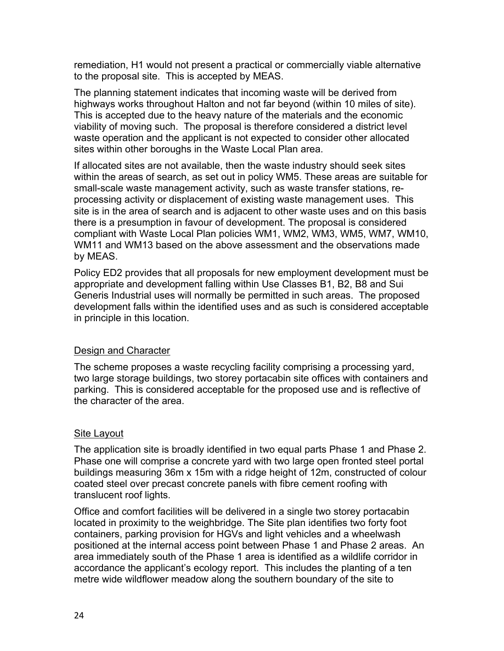remediation, H1 would not present a practical or commercially viable alternative to the proposal site. This is accepted by MEAS.

The planning statement indicates that incoming waste will be derived from highways works throughout Halton and not far beyond (within 10 miles of site). This is accepted due to the heavy nature of the materials and the economic viability of moving such. The proposal is therefore considered a district level waste operation and the applicant is not expected to consider other allocated sites within other boroughs in the Waste Local Plan area.

If allocated sites are not available, then the waste industry should seek sites within the areas of search, as set out in policy WM5. These areas are suitable for small-scale waste management activity, such as waste transfer stations, reprocessing activity or displacement of existing waste management uses. This site is in the area of search and is adjacent to other waste uses and on this basis there is a presumption in favour of development. The proposal is considered compliant with Waste Local Plan policies WM1, WM2, WM3, WM5, WM7, WM10, WM11 and WM13 based on the above assessment and the observations made by MEAS.

Policy ED2 provides that all proposals for new employment development must be appropriate and development falling within Use Classes B1, B2, B8 and Sui Generis Industrial uses will normally be permitted in such areas. The proposed development falls within the identified uses and as such is considered acceptable in principle in this location.

## Design and Character

The scheme proposes a waste recycling facility comprising a processing yard, two large storage buildings, two storey portacabin site offices with containers and parking. This is considered acceptable for the proposed use and is reflective of the character of the area.

### Site Layout

The application site is broadly identified in two equal parts Phase 1 and Phase 2. Phase one will comprise a concrete yard with two large open fronted steel portal buildings measuring 36m x 15m with a ridge height of 12m, constructed of colour coated steel over precast concrete panels with fibre cement roofing with translucent roof lights.

Office and comfort facilities will be delivered in a single two storey portacabin located in proximity to the weighbridge. The Site plan identifies two forty foot containers, parking provision for HGVs and light vehicles and a wheelwash positioned at the internal access point between Phase 1 and Phase 2 areas. An area immediately south of the Phase 1 area is identified as a wildlife corridor in accordance the applicant's ecology report. This includes the planting of a ten metre wide wildflower meadow along the southern boundary of the site to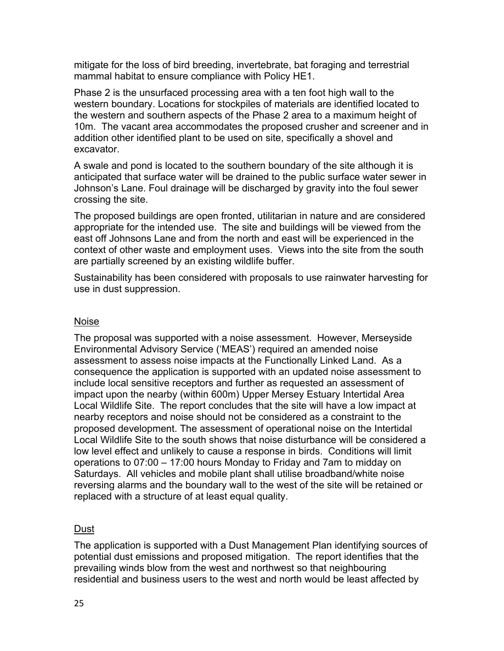mitigate for the loss of bird breeding, invertebrate, bat foraging and terrestrial mammal habitat to ensure compliance with Policy HE1.

Phase 2 is the unsurfaced processing area with a ten foot high wall to the western boundary. Locations for stockpiles of materials are identified located to the western and southern aspects of the Phase 2 area to a maximum height of 10m. The vacant area accommodates the proposed crusher and screener and in addition other identified plant to be used on site, specifically a shovel and excavator.

A swale and pond is located to the southern boundary of the site although it is anticipated that surface water will be drained to the public surface water sewer in Johnson's Lane. Foul drainage will be discharged by gravity into the foul sewer crossing the site.

The proposed buildings are open fronted, utilitarian in nature and are considered appropriate for the intended use. The site and buildings will be viewed from the east off Johnsons Lane and from the north and east will be experienced in the context of other waste and employment uses. Views into the site from the south are partially screened by an existing wildlife buffer.

Sustainability has been considered with proposals to use rainwater harvesting for use in dust suppression.

### Noise

The proposal was supported with a noise assessment. However, Merseyside Environmental Advisory Service ('MEAS') required an amended noise assessment to assess noise impacts at the Functionally Linked Land. As a consequence the application is supported with an updated noise assessment to include local sensitive receptors and further as requested an assessment of impact upon the nearby (within 600m) Upper Mersey Estuary Intertidal Area Local Wildlife Site. The report concludes that the site will have a low impact at nearby receptors and noise should not be considered as a constraint to the proposed development. The assessment of operational noise on the Intertidal Local Wildlife Site to the south shows that noise disturbance will be considered a low level effect and unlikely to cause a response in birds. Conditions will limit operations to 07:00 – 17:00 hours Monday to Friday and 7am to midday on Saturdays. All vehicles and mobile plant shall utilise broadband/white noise reversing alarms and the boundary wall to the west of the site will be retained or replaced with a structure of at least equal quality.

### Dust

The application is supported with a Dust Management Plan identifying sources of potential dust emissions and proposed mitigation. The report identifies that the prevailing winds blow from the west and northwest so that neighbouring residential and business users to the west and north would be least affected by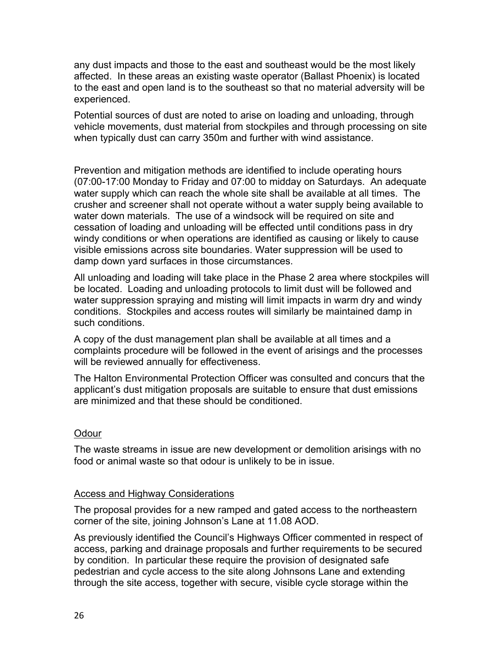any dust impacts and those to the east and southeast would be the most likely affected. In these areas an existing waste operator (Ballast Phoenix) is located to the east and open land is to the southeast so that no material adversity will be experienced.

Potential sources of dust are noted to arise on loading and unloading, through vehicle movements, dust material from stockpiles and through processing on site when typically dust can carry 350m and further with wind assistance.

Prevention and mitigation methods are identified to include operating hours (07:00-17:00 Monday to Friday and 07:00 to midday on Saturdays. An adequate water supply which can reach the whole site shall be available at all times. The crusher and screener shall not operate without a water supply being available to water down materials. The use of a windsock will be required on site and cessation of loading and unloading will be effected until conditions pass in dry windy conditions or when operations are identified as causing or likely to cause visible emissions across site boundaries. Water suppression will be used to damp down yard surfaces in those circumstances.

All unloading and loading will take place in the Phase 2 area where stockpiles will be located. Loading and unloading protocols to limit dust will be followed and water suppression spraying and misting will limit impacts in warm dry and windy conditions. Stockpiles and access routes will similarly be maintained damp in such conditions.

A copy of the dust management plan shall be available at all times and a complaints procedure will be followed in the event of arisings and the processes will be reviewed annually for effectiveness.

The Halton Environmental Protection Officer was consulted and concurs that the applicant's dust mitigation proposals are suitable to ensure that dust emissions are minimized and that these should be conditioned.

### Odour

The waste streams in issue are new development or demolition arisings with no food or animal waste so that odour is unlikely to be in issue.

#### Access and Highway Considerations

The proposal provides for a new ramped and gated access to the northeastern corner of the site, joining Johnson's Lane at 11.08 AOD.

As previously identified the Council's Highways Officer commented in respect of access, parking and drainage proposals and further requirements to be secured by condition. In particular these require the provision of designated safe pedestrian and cycle access to the site along Johnsons Lane and extending through the site access, together with secure, visible cycle storage within the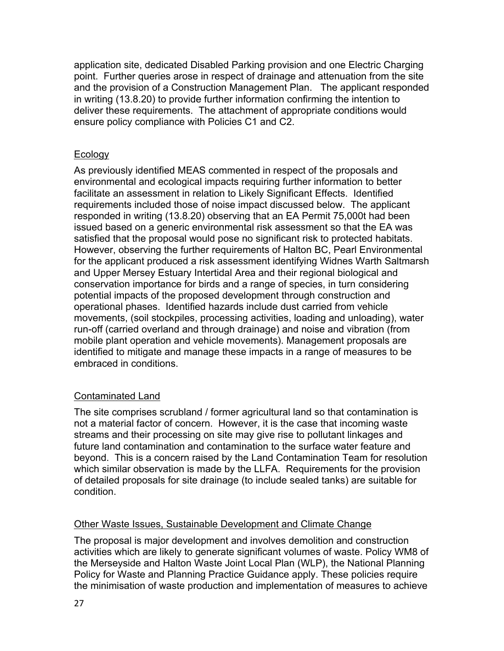application site, dedicated Disabled Parking provision and one Electric Charging point. Further queries arose in respect of drainage and attenuation from the site and the provision of a Construction Management Plan. The applicant responded in writing (13.8.20) to provide further information confirming the intention to deliver these requirements. The attachment of appropriate conditions would ensure policy compliance with Policies C1 and C2.

## Ecology

As previously identified MEAS commented in respect of the proposals and environmental and ecological impacts requiring further information to better facilitate an assessment in relation to Likely Significant Effects. Identified requirements included those of noise impact discussed below. The applicant responded in writing (13.8.20) observing that an EA Permit 75,000t had been issued based on a generic environmental risk assessment so that the EA was satisfied that the proposal would pose no significant risk to protected habitats. However, observing the further requirements of Halton BC, Pearl Environmental for the applicant produced a risk assessment identifying Widnes Warth Saltmarsh and Upper Mersey Estuary Intertidal Area and their regional biological and conservation importance for birds and a range of species, in turn considering potential impacts of the proposed development through construction and operational phases. Identified hazards include dust carried from vehicle movements, (soil stockpiles, processing activities, loading and unloading), water run-off (carried overland and through drainage) and noise and vibration (from mobile plant operation and vehicle movements). Management proposals are identified to mitigate and manage these impacts in a range of measures to be embraced in conditions.

## Contaminated Land

The site comprises scrubland / former agricultural land so that contamination is not a material factor of concern. However, it is the case that incoming waste streams and their processing on site may give rise to pollutant linkages and future land contamination and contamination to the surface water feature and beyond. This is a concern raised by the Land Contamination Team for resolution which similar observation is made by the LLFA. Requirements for the provision of detailed proposals for site drainage (to include sealed tanks) are suitable for condition.

### Other Waste Issues, Sustainable Development and Climate Change

The proposal is major development and involves demolition and construction activities which are likely to generate significant volumes of waste. Policy WM8 of the Merseyside and Halton Waste Joint Local Plan (WLP), the National Planning Policy for Waste and Planning Practice Guidance apply. These policies require the minimisation of waste production and implementation of measures to achieve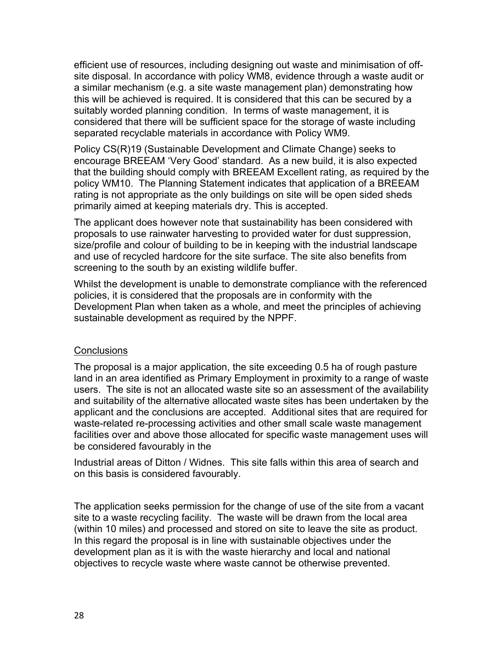efficient use of resources, including designing out waste and minimisation of offsite disposal. In accordance with policy WM8, evidence through a waste audit or a similar mechanism (e.g. a site waste management plan) demonstrating how this will be achieved is required. It is considered that this can be secured by a suitably worded planning condition. In terms of waste management, it is considered that there will be sufficient space for the storage of waste including separated recyclable materials in accordance with Policy WM9.

Policy CS(R)19 (Sustainable Development and Climate Change) seeks to encourage BREEAM 'Very Good' standard. As a new build, it is also expected that the building should comply with BREEAM Excellent rating, as required by the policy WM10. The Planning Statement indicates that application of a BREEAM rating is not appropriate as the only buildings on site will be open sided sheds primarily aimed at keeping materials dry. This is accepted.

The applicant does however note that sustainability has been considered with proposals to use rainwater harvesting to provided water for dust suppression, size/profile and colour of building to be in keeping with the industrial landscape and use of recycled hardcore for the site surface. The site also benefits from screening to the south by an existing wildlife buffer.

Whilst the development is unable to demonstrate compliance with the referenced policies, it is considered that the proposals are in conformity with the Development Plan when taken as a whole, and meet the principles of achieving sustainable development as required by the NPPF.

### **Conclusions**

The proposal is a major application, the site exceeding 0.5 ha of rough pasture land in an area identified as Primary Employment in proximity to a range of waste users. The site is not an allocated waste site so an assessment of the availability and suitability of the alternative allocated waste sites has been undertaken by the applicant and the conclusions are accepted. Additional sites that are required for waste-related re-processing activities and other small scale waste management facilities over and above those allocated for specific waste management uses will be considered favourably in the

Industrial areas of Ditton / Widnes. This site falls within this area of search and on this basis is considered favourably.

The application seeks permission for the change of use of the site from a vacant site to a waste recycling facility. The waste will be drawn from the local area (within 10 miles) and processed and stored on site to leave the site as product. In this regard the proposal is in line with sustainable objectives under the development plan as it is with the waste hierarchy and local and national objectives to recycle waste where waste cannot be otherwise prevented.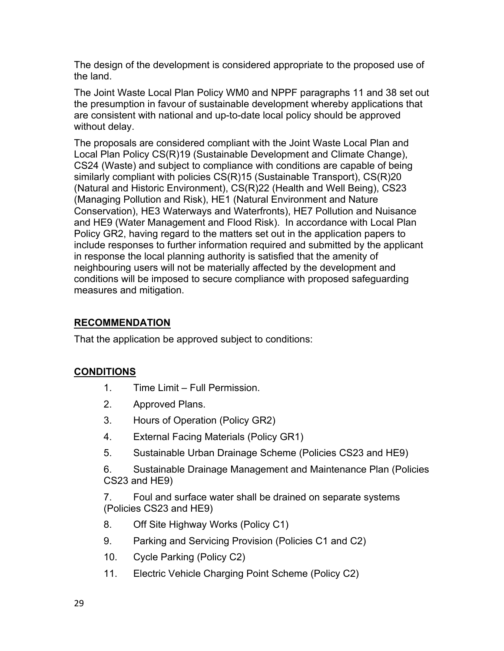The design of the development is considered appropriate to the proposed use of the land.

The Joint Waste Local Plan Policy WM0 and NPPF paragraphs 11 and 38 set out the presumption in favour of sustainable development whereby applications that are consistent with national and up-to-date local policy should be approved without delay.

The proposals are considered compliant with the Joint Waste Local Plan and Local Plan Policy CS(R)19 (Sustainable Development and Climate Change), CS24 (Waste) and subject to compliance with conditions are capable of being similarly compliant with policies CS(R)15 (Sustainable Transport), CS(R)20 (Natural and Historic Environment), CS(R)22 (Health and Well Being), CS23 (Managing Pollution and Risk), HE1 (Natural Environment and Nature Conservation), HE3 Waterways and Waterfronts), HE7 Pollution and Nuisance and HE9 (Water Management and Flood Risk). In accordance with Local Plan Policy GR2, having regard to the matters set out in the application papers to include responses to further information required and submitted by the applicant in response the local planning authority is satisfied that the amenity of neighbouring users will not be materially affected by the development and conditions will be imposed to secure compliance with proposed safeguarding measures and mitigation.

# **RECOMMENDATION**

That the application be approved subject to conditions:

# **CONDITIONS**

- 1. Time Limit Full Permission.
- 2. Approved Plans.
- 3. Hours of Operation (Policy GR2)
- 4. External Facing Materials (Policy GR1)
- 5. Sustainable Urban Drainage Scheme (Policies CS23 and HE9)

6. Sustainable Drainage Management and Maintenance Plan (Policies CS23 and HE9)

7. Foul and surface water shall be drained on separate systems (Policies CS23 and HE9)

- 8. Off Site Highway Works (Policy C1)
- 9. Parking and Servicing Provision (Policies C1 and C2)
- 10. Cycle Parking (Policy C2)
- 11. Electric Vehicle Charging Point Scheme (Policy C2)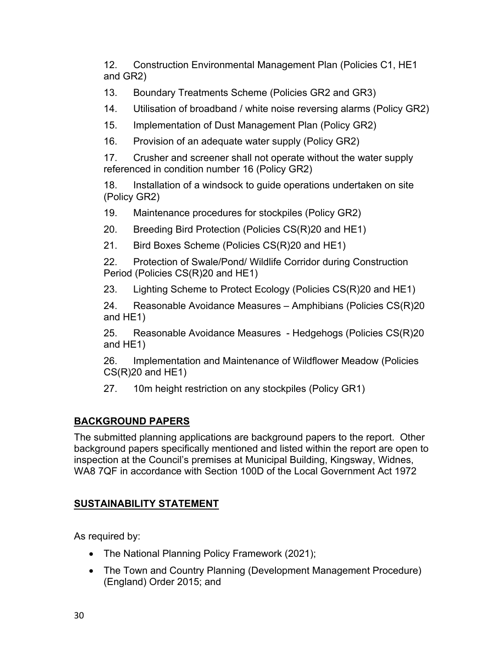12. Construction Environmental Management Plan (Policies C1, HE1 and GR2)

13. Boundary Treatments Scheme (Policies GR2 and GR3)

14. Utilisation of broadband / white noise reversing alarms (Policy GR2)

15. Implementation of Dust Management Plan (Policy GR2)

16. Provision of an adequate water supply (Policy GR2)

17. Crusher and screener shall not operate without the water supply referenced in condition number 16 (Policy GR2)

18. Installation of a windsock to guide operations undertaken on site (Policy GR2)

19. Maintenance procedures for stockpiles (Policy GR2)

20. Breeding Bird Protection (Policies CS(R)20 and HE1)

21. Bird Boxes Scheme (Policies CS(R)20 and HE1)

22. Protection of Swale/Pond/ Wildlife Corridor during Construction Period (Policies CS(R)20 and HE1)

23. Lighting Scheme to Protect Ecology (Policies CS(R)20 and HE1)

24. Reasonable Avoidance Measures – Amphibians (Policies CS(R)20 and HE1)

25. Reasonable Avoidance Measures - Hedgehogs (Policies CS(R)20 and HE1)

26. Implementation and Maintenance of Wildflower Meadow (Policies  $CS(R)20$  and  $HE1$ )

27. 10m height restriction on any stockpiles (Policy GR1)

# **BACKGROUND PAPERS**

The submitted planning applications are background papers to the report. Other background papers specifically mentioned and listed within the report are open to inspection at the Council's premises at Municipal Building, Kingsway, Widnes, WA8 7QF in accordance with Section 100D of the Local Government Act 1972

# **SUSTAINABILITY STATEMENT**

As required by:

- The National Planning Policy Framework (2021);
- The Town and Country Planning (Development Management Procedure) (England) Order 2015; and